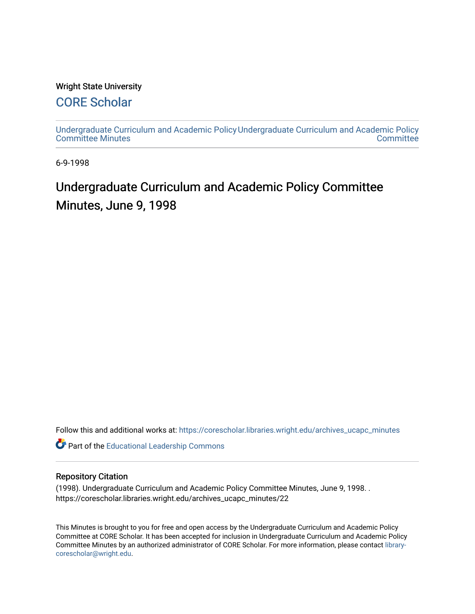### Wright State University

## [CORE Scholar](https://corescholar.libraries.wright.edu/)

[Undergraduate Curriculum and Academic Policy](https://corescholar.libraries.wright.edu/archives_ucapc_minutes) [Undergraduate Curriculum and Academic Policy](https://corescholar.libraries.wright.edu/archives_ucapc)  [Committee Minutes](https://corescholar.libraries.wright.edu/archives_ucapc_minutes) **Committee** 

6-9-1998

# Undergraduate Curriculum and Academic Policy Committee Minutes, June 9, 1998

Follow this and additional works at: [https://corescholar.libraries.wright.edu/archives\\_ucapc\\_minutes](https://corescholar.libraries.wright.edu/archives_ucapc_minutes?utm_source=corescholar.libraries.wright.edu%2Farchives_ucapc_minutes%2F22&utm_medium=PDF&utm_campaign=PDFCoverPages) 

Part of the [Educational Leadership Commons](http://network.bepress.com/hgg/discipline/1230?utm_source=corescholar.libraries.wright.edu%2Farchives_ucapc_minutes%2F22&utm_medium=PDF&utm_campaign=PDFCoverPages) 

#### Repository Citation

(1998). Undergraduate Curriculum and Academic Policy Committee Minutes, June 9, 1998. . https://corescholar.libraries.wright.edu/archives\_ucapc\_minutes/22

This Minutes is brought to you for free and open access by the Undergraduate Curriculum and Academic Policy Committee at CORE Scholar. It has been accepted for inclusion in Undergraduate Curriculum and Academic Policy Committee Minutes by an authorized administrator of CORE Scholar. For more information, please contact [library](mailto:library-corescholar@wright.edu)[corescholar@wright.edu](mailto:library-corescholar@wright.edu).